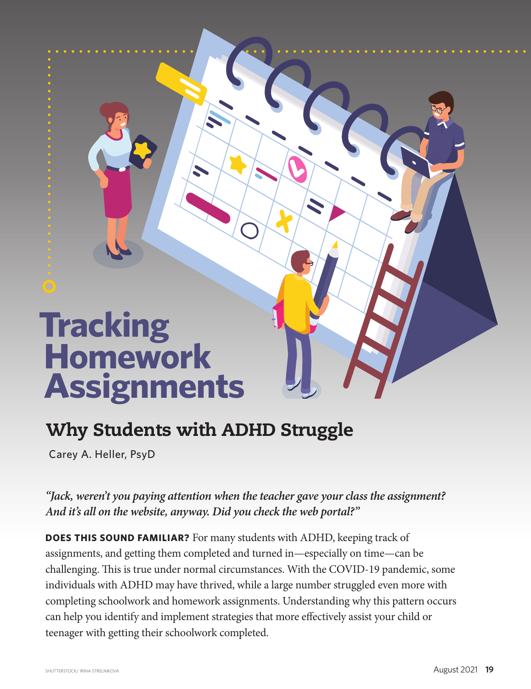## **Tracking Homework Assignments**

## Why Students with ADHD Struggle

Carey A. Heller, PsyD

*"Jack, weren't you paying attention when the teacher gave your class the assignment? And it's all on the website, anyway. Did you check the web portal?"*

**DOES THIS SOUND FAMILIAR?** For many students with ADHD, keeping track of assignments, and getting them completed and turned in—especially on time—can be challenging. This is true under normal circumstances. With the COVID-19 pandemic, some individuals with ADHD may have thrived, while a large number struggled even more with completing schoolwork and homework assignments. Understanding why this pattern occurs can help you identify and implement strategies that more effectively assist your child or teenager with getting their schoolwork completed.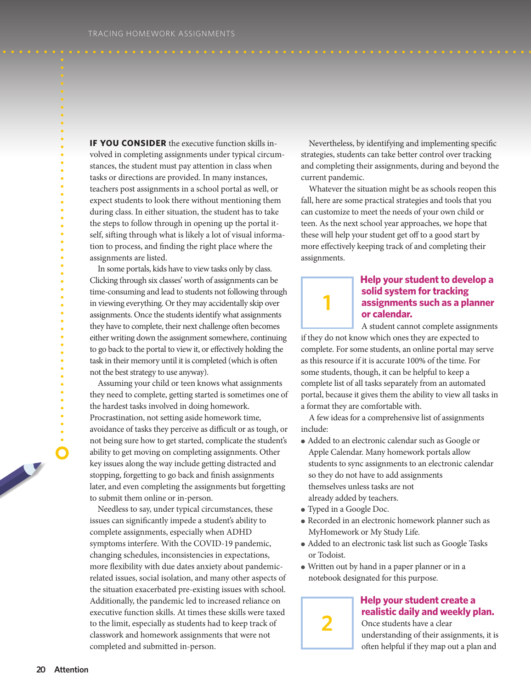**IF YOU CONSIDER** the executive function skills involved in completing assignments under typical circumstances, the student must pay attention in class when tasks or directions are provided. In many instances, teachers post assignments in a school portal as well, or expect students to look there without mentioning them during class. In either situation, the student has to take the steps to follow through in opening up the portal itself, sifting through what is likely a lot of visual information to process, and finding the right place where the assignments are listed.

In some portals, kids have to view tasks only by class. Clicking through six classes' worth of assignments can be time-consuming and lead to students not following through in viewing everything. Or they may accidentally skip over assignments. Once the students identify what assignments they have to complete, their next challenge often becomes either writing down the assignment somewhere, continuing to go back to the portal to view it, or effectively holding the task in their memory until it is completed (which is often not the best strategy to use anyway).

Assuming your child or teen knows what assignments they need to complete, getting started is sometimes one of the hardest tasks involved in doing homework. Procrastination, not setting aside homework time, avoidance of tasks they perceive as difficult or as tough, or not being sure how to get started, complicate the student's ability to get moving on completing assignments. Other key issues along the way include getting distracted and stopping, forgetting to go back and finish assignments later, and even completing the assignments but forgetting to submit them online or in-person.

Needless to say, under typical circumstances, these issues can significantly impede a student's ability to complete assignments, especially when ADHD symptoms interfere. With the COVID-19 pandemic, changing schedules, inconsistencies in expectations, more flexibility with due dates anxiety about pandemicrelated issues, social isolation, and many other aspects of the situation exacerbated pre-existing issues with school. Additionally, the pandemic led to increased reliance on executive function skills. At times these skills were taxed to the limit, especially as students had to keep track of classwork and homework assignments that were not completed and submitted in-person.

Nevertheless, by identifying and implementing specific strategies, students can take better control over tracking and completing their assignments, during and beyond the current pandemic.

Whatever the situation might be as schools reopen this fall, here are some practical strategies and tools that you can customize to meet the needs of your own child or teen. As the next school year approaches, we hope that these will help your student get off to a good start by more effectively keeping track of and completing their assignments.



## **Help** your student to develop a **solid** system for tracking **assignments such as a planner or calendar.**

A student cannot complete assignments if they do not know which ones they are expected to complete. For some students, an online portal may serve as this resource if it is accurate 100% of the time. For some students, though, it can be helpful to keep a complete list of all tasks separately from an automated portal, because it gives them the ability to view all tasks in a format they are comfortable with.

A few ideas for a comprehensive list of assignments include:

- Added to an electronic calendar such as Google or Apple Calendar. Many homework portals allow students to sync assignments to an electronic calendar so they do not have to add assignments themselves unless tasks are not already added by teachers.
- Typed in a Google Doc.

**2**

- Recorded in an electronic homework planner such as MyHomework or My Study Life.
- Added to an electronic task list such as Google Tasks or Todoist.
- Written out by hand in a paper planner or in a notebook designated for this purpose.



understanding of their assignments, it is often helpful if they map out a plan and